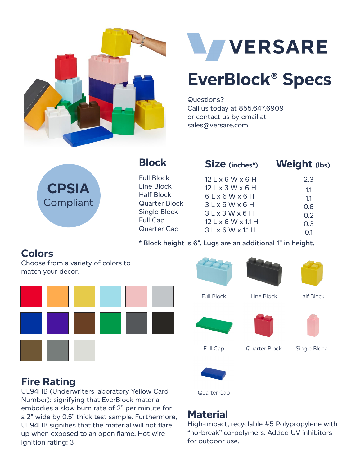



# **EverBlock® Specs**

Questions? Call us today at 855.647.6909 or contact us by email at sales@versare.com

| <b>CPSIA</b> |  |
|--------------|--|
| Compliant    |  |
|              |  |

| <b>Block</b>                                                                                                                   | Size (inches*)                                                                                                                                        | Weight (lbs)                                  |
|--------------------------------------------------------------------------------------------------------------------------------|-------------------------------------------------------------------------------------------------------------------------------------------------------|-----------------------------------------------|
| <b>Full Block</b><br>Line Block<br><b>Half Block</b><br>Quarter Block<br>Single Block<br><b>Full Cap</b><br><b>Quarter Cap</b> | $12 L \times 6 W \times 6 H$<br>12 L x 3 W x 6 H<br>6Lx6Wx6H<br>3Lx6Wx6H<br>3Lx3Wx6H<br>$12 L \times 6 W \times 11 H$<br>$3 L \times 6 W \times 11 H$ | 2.3<br>1.1<br>1.1<br>0.6<br>0.2<br>0.3<br>0.1 |
|                                                                                                                                |                                                                                                                                                       |                                               |

**\* Block height is 6". Lugs are an additional 1" in height.**

# **Colors**

Choose from a variety of colors to match your decor.





# **Fire Rating**

UL94HB (Underwriters laboratory Yellow Card Number): signifying that EverBlock material embodies a slow burn rate of 2" per minute for a 2" wide by 0.5" thick test sample. Furthermore, UL94HB signifies that the material will not flare up when exposed to an open flame. Hot wire ignition rating: 3

# **Material**

Quarter Cap

High-impact, recyclable #5 Polypropylene with "no-break" co-polymers. Added UV inhibitors for outdoor use.